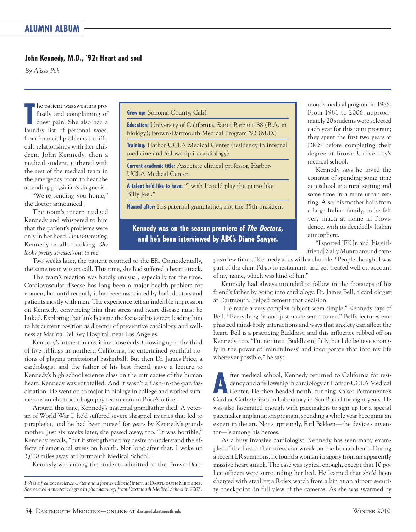## **John Kennedy, M.D., '92: Heart and soul**

*By Alissa Poh*

**T** he patient was sweating pro-<br>fusely and complaining of<br>chest pain. She also had a<br>laundry list of personal woes. he patient was sweating profusely and complaining of chest pain. She also had a from financial problems to difficult relationships with her children. John Kennedy, then a medical student, gathered with the rest of the medical team in the emergency room to hear the attending physician's diagnosis.

"We're sending you home," the doctor announced.

The team's intern nudged Kennedy and whispered to him that the patient's problems were only in her head. *How interesting*, Ken nedy recalls thinking. *She looks pretty stressed-out to me*.

**Grew up:** Sonoma County, Calif.

**Education:** University of California, Santa Barbara '88 (B.A. in biology); Brown-Dartmouth Medical Program '92 (M.D.)

**Training:** Harbor-UCLA Medical Center (residency in internal medicine and fellowship in cardiology)

**Current academic title:** Associate clinical professor, Harbor-UCLA Medical Center

**A talent he'd like to have:** "I wish I could play the piano like Billy Joel."

**Named after:** His paternal grandfather, not the 35th president

**Kennedy was on the season premiere of** *The Doctors***, and he's been interviewed by ABC's Diane Sawyer.**

mouth medical program in 1988. From 1981 to 2006, approximately 20 students were selected each year for this joint program; they spent the first two years at DMS before completing their degree at Brown University's medical school.

Kennedy says he loved the contrast of spending some time at a school in a rural setting and some time in a more urban setting. Also, his mother hails from a large Italian family, so he felt very much at home in Providence, with its decidedly Italian atmosphere.

"I spotted JFK Jr. and [his girlfriend] Sally Munro around cam-

Two weeks later, the patient returned to the ER. Coincidentally, the same team was on call. This time, she had suffered a heart attack.

The team's reaction was hardly unusual, especially for the time. Cardiovascular disease has long been a major health problem for women, but until recently it has been associated by both doctors and patients mostly with men. The experience left an indelible impression on Kennedy, convincing him that stress and heart disease must be linked. Exploring that link became the focus of his career, leading him to his current position as director of preventive cardiology and wellness at Marina Del Rey Hospital, near Los Angeles.

Kennedy's interest in medicine arose early. Growing up as the third of five siblings in northern California, he entertained youthful notions of playing professional basketball. But then Dr. James Price, a cardiologist and the father of his best friend, gave a lecture to Kennedy's high school science class on the intricacies of the human heart. Kennedy was enthralled. And it wasn't a flash-in-the-pan fascination. He went on to major in biology in college and worked summers as an electrocardiography technician in Price's office.

Around this time, Kennedy's maternal grandfather died. A veteran of World War I, he'd suffered severe shrapnel injuries that led to paraplegia, and he had been nursed for years by Kennedy's grandmother. Just six weeks later, she passed away, too. "It was horrible," Kennedy recalls, "but it strengthened my desire to understand the effects of emotional stress on health. Not long after that, I woke up 3,000 miles away at Dartmouth Medical School."

Kennedy was among the students admitted to the Brown-Dart-

pus a few times," Kennedy adds with a chuckle. "People thought I was part of the clan; I'd go to restaurants and get treated well on account of my name, which was kind of fun."

Kennedy had always intended to follow in the footsteps of his friend's father by going into cardiology. Dr. James Bell, a cardiologist at Dartmouth, helped cement that decision.

"He made a very complex subject seem simple," Kennedy says of Bell. "Everything fit and just made sense to me." Bell's lectures emphasized mind-body interactions and ways that anxiety can affect the heart. Bell is a practicing Buddhist, and this influence rubbed off on Kennedy, too. "I'm not into [Buddhism] fully, but I do believe strongly in the power of 'mindfulness' and incorporate that into my life whenever possible," he says.

**A** fter medical school, Kennedy returned to California for residency and a fellowship in cardiology at Harbor-UCLA Medical Center. He then headed north, running Kaiser Permanente's Cardiac Catheterization Laboratory in Sa fter medical school, Kennedy returned to California for residency and a fellowship in cardiology at Harbor-UCLA Medical Center. He then headed north, running Kaiser Permanente's was also fascinated enough with pacemakers to sign up for a special pacemaker implantation program, spending a whole year becoming an expert in the art. Not surprisingly, Earl Bakken—the device's inventor—is among his heroes.

As a busy invasive cardiologist, Kennedy has seen many examples of the havoc that stress can wreak on the human heart. During a recent ER summons, he found a woman in agony from an apparently massive heart attack. The case was typical enough, except that 10 police officers were surrounding her bed. He learned that she'd been charged with stealing a Rolex watch from a bin at an airport security checkpoint, in full view of the cameras. As she was swarmed by

Poh is a freelance science writer and a former editorial intern at DARTMOUTH MEDICINE. *She earned a master's degree in pharmacology from Dartmouth Medical School in 2007.*